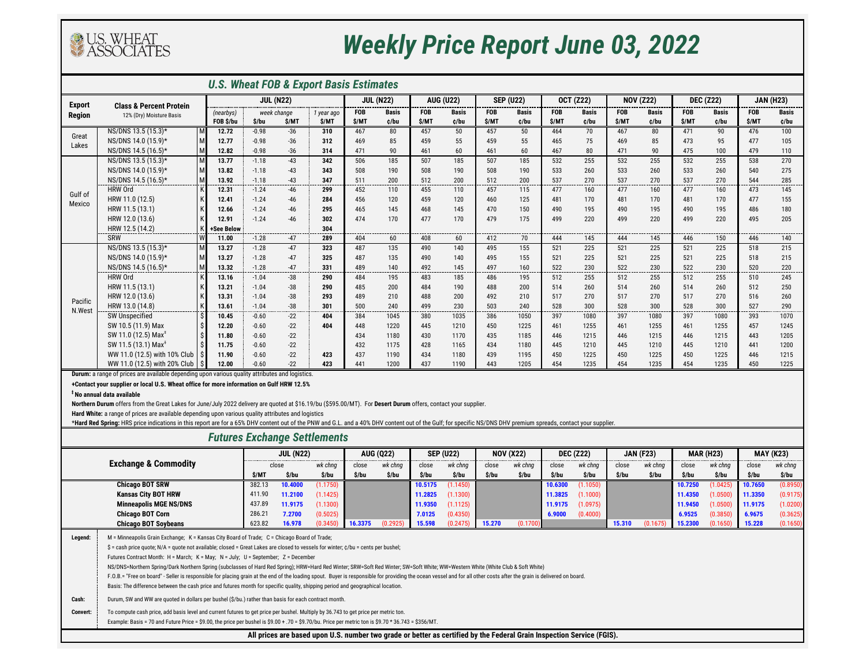

## *Weekly Price Report June 03, 2022*

| <b>U.S. Wheat FOB &amp; Export Basis Estimates</b> |                                                                                                        |                  |         |             |            |                  |              |                  |              |                  |              |                  |              |                  |              |                  |              |                  |              |
|----------------------------------------------------|--------------------------------------------------------------------------------------------------------|------------------|---------|-------------|------------|------------------|--------------|------------------|--------------|------------------|--------------|------------------|--------------|------------------|--------------|------------------|--------------|------------------|--------------|
| <b>Export</b>                                      | <b>Class &amp; Percent Protein</b>                                                                     | <b>JUL (N22)</b> |         |             |            | <b>JUL (N22)</b> |              | <b>AUG (U22)</b> |              | <b>SEP (U22)</b> |              | <b>OCT (Z22)</b> |              | <b>NOV (Z22)</b> |              | <b>DEC (Z22)</b> |              | <b>JAN (H23)</b> |              |
| <b>Region</b>                                      | 12% (Dry) Moisture Basis                                                                               | (nearbys)        |         | week change | 1 year ago | <b>FOB</b>       | <b>Basis</b> | <b>FOB</b>       | <b>Basis</b> | <b>FOB</b>       | <b>Basis</b> | <b>FOB</b>       | <b>Basis</b> | <b>FOB</b>       | <b>Basis</b> | <b>FOB</b>       | <b>Basis</b> | <b>FOB</b>       | <b>Basis</b> |
|                                                    |                                                                                                        | FOB \$/bu        | \$/bu   | <b>S/MT</b> | \$/MT      | <b>S/MT</b>      | ¢/bu         | <b>S/MT</b>      | ¢/bu         | \$/MT            | ¢/bu         | \$/MT            | ¢/bu         | <b>S/MT</b>      | ¢/bu         | \$/MT            | ¢/bu         | \$/MT            | ¢/bu         |
| Great<br>Lakes                                     | NS/DNS 13.5 (15.3)*                                                                                    | 12.72            | $-0.98$ | $-36$       | 310        | 467              | 80           | 457              | 50           | 457              | 50           | 464              | 70           | 467              | 80           | 471              | 90           | 476              | 100          |
|                                                    | NS/DNS 14.0 (15.9)*                                                                                    | 12.77            | $-0.98$ | $-36$       | 312        | 469              | 85           | 459              | 55           | 459              | 55           | 465              | 75           | 469              | 85           | 473              | 95           | 477              | 105          |
|                                                    | NS/DNS 14.5 (16.5)*<br>M                                                                               | 12.82            | $-0.98$ | $-36$       | 314        | 471              | 90           | 461              | 60           | 461              | 60           | 467              | 80           | 471              | 90           | 475              | 100          | 479              | 110          |
|                                                    | NS/DNS 13.5 (15.3)*<br>M                                                                               | 13.77            | $-1.18$ | $-43$       | 342        | 506              | 185          | 507              | 185          | 507              | 185          | 532              | 255          | 532              | 255          | 532              | 255          | 538              | 270          |
|                                                    | NS/DNS 14.0 (15.9)*<br>M                                                                               | 13.82            | $-1.18$ | $-43$       | 343        | 508              | 190          | 508              | 190          | 508              | 190          | 533              | 260          | 533              | 260          | 533              | 260          | 540              | 275          |
|                                                    | NS/DNS 14.5 (16.5)*                                                                                    | 13.92            | $-1.18$ | $-43$       | 347        | 511              | 200          | 512              | 200          | 512              | 200          | 537              | 270          | 537              | 270          | 537              | 270          | 544              | 285          |
| Gulf of<br>Mexico                                  | HRW Ord                                                                                                | 12.31            | $-1.24$ | -46         | 299        | 452              | 110          | 455              | 110          | 457              | 115          | 477              | 160          | 477              | 160          | 477              | 160          | 473              | 145          |
|                                                    | HRW 11.0 (12.5)                                                                                        | 12.41            | $-1.24$ | -46         | 284        | 456              | 120          | 459              | 120          | 460              | 125          | 481              | 170          | 481              | 170          | 481              | 170          | 477              | 155          |
|                                                    | HRW 11.5 (13.1)                                                                                        | 12.66            | $-1.24$ | $-46$       | 295        | 465              | 145          | 468              | 145          | 470              | 150          | 490              | 195          | 490              | 195          | 490              | 195          | 486              | 180          |
|                                                    | HRW 12.0 (13.6)                                                                                        | 12.91            | $-1.24$ | $-46$       | 302        | 474              | 170          | 477              | 170          | 479              | 175          | 499              | 220          | 499              | 220          | 499              | 220          | 495              | 205          |
|                                                    | HRW 12.5 (14.2)                                                                                        | +See Below       |         |             | 304        |                  |              |                  |              |                  |              |                  |              |                  |              |                  |              |                  |              |
|                                                    | SRW                                                                                                    | 11.00            | $-1.28$ | $-47$       | 289        | 404              | 60           | 408              | 60           | 412              | 70           | 444              | 145          | 444              | 145          | 446              | 150          | 446              | 140          |
|                                                    | NS/DNS 13.5 (15.3)*                                                                                    | 13.27            | $-1.28$ | $-47$       | 323        | 487              | 135          | 490              | 140          | 495              | 155          | 521              | 225          | 521              | 225          | 521              | 225          | 518              | 215          |
|                                                    | NS/DNS 14.0 (15.9)*                                                                                    | 13.27            | $-1.28$ | $-47$       | 325        | 487              | 135          | 490              | 140          | 495              | 155          | 521              | 225          | 521              | 225          | 521              | 225          | 518              | 215          |
|                                                    | NS/DNS 14.5 (16.5)*<br>M                                                                               | 13.32            | $-1.28$ | $-47$       | 331        | 489              | 140          | 492              | 145          | 497              | 160          | 522              | 230          | 522              | 230          | 522              | 230          | 520              | 220<br>----- |
|                                                    | <b>HRW Ord</b>                                                                                         | 13.16            | $-1.04$ | $-38$       | 290        | 484              | 195          | 483              | 185          | 486              | 195          | 512              | 255          | 512              | 255          | 512              | 255          | 510              | 245          |
|                                                    | HRW 11.5 (13.1)                                                                                        | 13.21            | $-1.04$ | $-38$       | 290        | 485              | 200          | 484              | 190          | 488              | 200          | 514              | 260          | 514              | 260          | 514              | 260          | 512              | 250          |
| Pacific                                            | HRW 12.0 (13.6)                                                                                        | 13.31            | $-1.04$ | $-38$       | 293        | 489              | 210          | 488              | 200          | 492              | 210          | 517              | 270          | 517              | 270          | 517              | 270          | 516              | 260          |
| N.West                                             | HRW 13.0 (14.8)                                                                                        | 13.61            | $-1.04$ | $-38$       | 301        | 500              | 240          | 499              | 230          | 503              | 240          | 528              | 300          | 528              | 300          | 528              | 300          | 527              | 290          |
|                                                    | SW Unspecified                                                                                         | 10.45            | $-0.60$ | $-22$       | 404        | 384              | 1045         | 380              | 1035         | 386              | 1050         | 397              | 1080         | 397              | 1080         | 397              | 1080         | 393              | 1070         |
|                                                    | SW 10.5 (11.9) Max                                                                                     | 12.20            | $-0.60$ | $-22$       | 404        | 448              | 1220         | 445              | 1210         | 450              | 1225         | 461              | 1255         | 461              | 1255         | 461              | 1255         | 457              | 1245         |
|                                                    | SW 11.0 (12.5) Max <sup>+</sup>                                                                        | 11.80            | $-0.60$ | $-22$       |            | 434              | 1180         | 430              | 1170         | 435              | 1185         | 446              | 1215         | 446              | 1215         | 446              | 1215         | 443              | 1205         |
|                                                    | SW 11.5 (13.1) Max <sup>‡</sup>                                                                        | 11.75            | $-0.60$ | $-22$       |            | 432              | 1175         | 428              | 1165         | 434              | 1180         | 445              | 1210         | 445              | 1210         | 445              | 1210         | 441              | 1200         |
|                                                    | WW 11.0 (12.5) with 10% Club                                                                           | 11.90            | $-0.60$ | $-22$       | 423        | 437              | 1190         | 434              | 1180         | 439              | 1195         | 450              | 1225         | 450              | 1225         | 450              | 1225         | 446              | 1215         |
|                                                    | WW 11.0 (12.5) with 20% Club                                                                           | 12.00            | $-0.60$ | $-22$       | 423        | 441              | 1200         | 437              | 1190         | 443              | 1205         | 454              | 1235         | 454              | 1235         | 454              | 1235         | 450              | 1225         |
|                                                    | <b>Durum:</b> a range of prices are available depending upon various quality attributes and logistics. |                  |         |             |            |                  |              |                  |              |                  |              |                  |              |                  |              |                  |              |                  |              |

**+Contact your supplier or local U.S. Wheat office for more information on Gulf HRW 12.5%**

**‡ No annual data available**

**Northern Durum** offers from the Great Lakes for June/July 2022 delivery are quoted at \$16.19/bu (\$595.00/MT). For **Desert Durum** offers, contact your supplier.

**Hard White:** a range of prices are available depending upon various quality attributes and logistics

\***Hard Red Spring:** HRS price indications in this report are for a 65% DHV content out of the PNW and G.L. and a 40% DHV content out of the Gulf; for specific NS/DNS DHV premium spreads, contact your supplier.

| <b>Futures Exchange Settlements</b> |                                                                                                                                                                                                                       |        |                  |          |                    |                  |         |                  |         |                  |         |                  |         |                  |         |                  |         |                  |  |
|-------------------------------------|-----------------------------------------------------------------------------------------------------------------------------------------------------------------------------------------------------------------------|--------|------------------|----------|--------------------|------------------|---------|------------------|---------|------------------|---------|------------------|---------|------------------|---------|------------------|---------|------------------|--|
|                                     |                                                                                                                                                                                                                       |        | <b>JUL (N22)</b> |          |                    | <b>AUG (Q22)</b> |         | <b>SEP (U22)</b> |         | <b>NOV (X22)</b> |         | <b>DEC (Z22)</b> |         | <b>JAN (F23)</b> |         | <b>MAR (H23)</b> |         | <b>MAY (K23)</b> |  |
|                                     | close                                                                                                                                                                                                                 |        | wk chng          | close    | wk chng            | close            | wk chng | close            | wk chng | close            | wk chng | close            | wk chng | close            | wk chnq | close            | wk chng |                  |  |
|                                     | \$/MT                                                                                                                                                                                                                 | \$/bu  | \$/bu            | \$/bu    | \$/bu              | \$/bu            | \$/bu   | \$/bu            | \$/bu   | \$/bu            | \$/bu   | \$/bu            | \$/bu   | \$/bu            | \$/bu   | \$/bu            | \$/bu   |                  |  |
| <b>Chicago BOT SRW</b>              |                                                                                                                                                                                                                       | 382.13 | 10.4000          | (1.1750) |                    |                  | 10.5175 | (1.1450)         |         |                  | 10.6300 | (1.1050)         |         |                  | 10.7250 | (1.0425)         | 10.7650 | (0.8950)         |  |
| <b>Kansas City BOT HRW</b>          |                                                                                                                                                                                                                       | 411.90 | 11.2100          | (1.1425) |                    |                  | 11.2825 | (1.1300)         |         |                  | 11.3825 | (1.1000)         |         |                  | 11.4350 | (1.0500)         | 11.3350 | (0.9175)         |  |
| <b>Minneapolis MGE NS/DNS</b>       |                                                                                                                                                                                                                       | 437.89 | 11.9175          | (1.1300) |                    |                  | 11.9350 | (1.1125)         |         |                  | 11.9175 | (1.0975)         |         |                  | 11.9450 | (1.0500)         | 11.9175 | (1.0200)         |  |
| <b>Chicago BOT Corn</b>             |                                                                                                                                                                                                                       | 286.21 | 7.2700           | (0.5025) |                    |                  | 7.0125  | (0.4350)         |         |                  | 6.9000  | (0.4000)         |         |                  | 6.9525  | (0.3850)         | 6.9675  | (0.3625)         |  |
|                                     | <b>Chicago BOT Soybeans</b>                                                                                                                                                                                           | 623.82 | 16.978           |          | $(0.3450)$ 16.3375 | (0.2925)         | 15.598  | (0.2475)         | 15.270  | (0.1700)         |         |                  | 15.310  | (0.1675)         | 15.2300 | (0.1650)         | 15.228  | (0.1650)         |  |
| Legend:                             | M = Minneapolis Grain Exchange; K = Kansas City Board of Trade; C = Chicago Board of Trade;                                                                                                                           |        |                  |          |                    |                  |         |                  |         |                  |         |                  |         |                  |         |                  |         |                  |  |
|                                     | \$ = cash price quote; N/A = quote not available; closed = Great Lakes are closed to vessels for winter; $\zeta$ /bu = cents per bushel;                                                                              |        |                  |          |                    |                  |         |                  |         |                  |         |                  |         |                  |         |                  |         |                  |  |
|                                     | Futures Contract Month: H = March; K = May; N = July; U = September; Z = December                                                                                                                                     |        |                  |          |                    |                  |         |                  |         |                  |         |                  |         |                  |         |                  |         |                  |  |
|                                     | NS/DNS=Northern Spring/Dark Northern Spring (subclasses of Hard Red Spring); HRW=Hard Red Winter; SRW=Soft Red Winter; SW=Soft White; WW=Western White (White Club & Soft White)                                      |        |                  |          |                    |                  |         |                  |         |                  |         |                  |         |                  |         |                  |         |                  |  |
|                                     | F.O.B.= "Free on board" - Seller is responsible for placing grain at the end of the loading spout. Buyer is responsible for providing the ocean vessel and for all other costs after the grain is delivered on board. |        |                  |          |                    |                  |         |                  |         |                  |         |                  |         |                  |         |                  |         |                  |  |
|                                     | Basis: The difference between the cash price and futures month for specific quality, shipping period and geographical location.                                                                                       |        |                  |          |                    |                  |         |                  |         |                  |         |                  |         |                  |         |                  |         |                  |  |
| Cash:                               | Durum, SW and WW are quoted in dollars per bushel (\$/bu.) rather than basis for each contract month.                                                                                                                 |        |                  |          |                    |                  |         |                  |         |                  |         |                  |         |                  |         |                  |         |                  |  |
| <b>Convert:</b>                     | To compute cash price, add basis level and current futures to get price per bushel. Multiply by 36.743 to get price per metric ton.                                                                                   |        |                  |          |                    |                  |         |                  |         |                  |         |                  |         |                  |         |                  |         |                  |  |
|                                     | Example: Basis = 70 and Future Price = \$9.00, the price per bushel is \$9.00 + .70 = \$9.70/bu. Price per metric ton is \$9.70 * 36.743 = \$356/MT.                                                                  |        |                  |          |                    |                  |         |                  |         |                  |         |                  |         |                  |         |                  |         |                  |  |

**All prices are based upon U.S. number two grade or better as certified by the Federal Grain Inspection Service (FGIS).**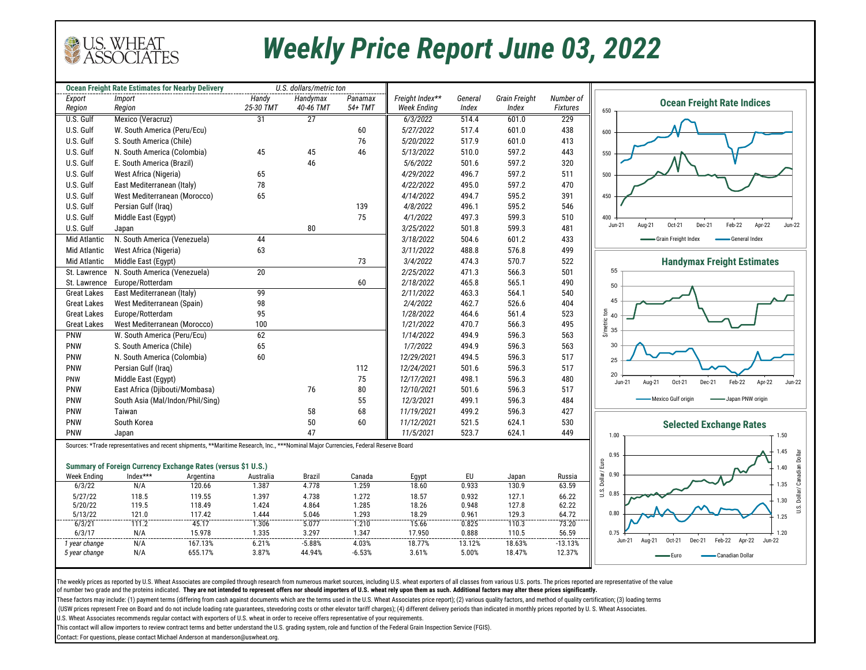

## *Weekly Price Report June 03, 2022*

|                     | <b>Ocean Freight Rate Estimates for Nearby Delivery</b>                                                                             |                 | U.S. dollars/metric ton |                 |                |                    |                |                      |                 |                                                                              |
|---------------------|-------------------------------------------------------------------------------------------------------------------------------------|-----------------|-------------------------|-----------------|----------------|--------------------|----------------|----------------------|-----------------|------------------------------------------------------------------------------|
| Export              | <i>Import</i>                                                                                                                       |                 | Handy                   | Handymax        | Panamax        | Freight Index**    | General        | <b>Grain Freight</b> | Number of       | <b>Ocean Freight Rate Indices</b>                                            |
| Region              | Region                                                                                                                              |                 | 25-30 TMT               | 40-46 TMT       | 54+ TMT        | <b>Week Ending</b> | Index          | Index                | <b>Fixtures</b> | 650                                                                          |
| U.S. Gulf           | Mexico (Veracruz)                                                                                                                   |                 | 31                      | $\overline{27}$ |                | 6/3/2022           | 514.4          | 601.0                | 229             |                                                                              |
| U.S. Gulf           | W. South America (Peru/Ecu)                                                                                                         |                 |                         |                 | 60             | 5/27/2022          | 517.4          | 601.0                | 438             | 600                                                                          |
| U.S. Gulf           | S. South America (Chile)                                                                                                            |                 |                         |                 | 76             | 5/20/2022          | 517.9          | 601.0                | 413             |                                                                              |
| U.S. Gulf           | N. South America (Colombia)                                                                                                         |                 | 45                      | 45              | 46             | 5/13/2022          | 510.0          | 597.2                | 443             | 550                                                                          |
| U.S. Gulf           | E. South America (Brazil)                                                                                                           |                 |                         | 46              |                | 5/6/2022           | 501.6          | 597.2                | 320             |                                                                              |
| U.S. Gulf           | West Africa (Nigeria)                                                                                                               |                 | 65                      |                 |                | 4/29/2022          | 496.7          | 597.2                | 511             | 500                                                                          |
| U.S. Gulf           | East Mediterranean (Italy)                                                                                                          |                 | 78                      |                 |                | 4/22/2022          | 495.0          | 597.2                | 470             |                                                                              |
| U.S. Gulf           | West Mediterranean (Morocco)                                                                                                        |                 | 65                      |                 |                | 4/14/2022          | 494.7          | 595.2                | 391             | 450                                                                          |
| U.S. Gulf           | Persian Gulf (Iraq)                                                                                                                 |                 |                         |                 | 139            | 4/8/2022           | 496.1          | 595.2                | 546             |                                                                              |
| U.S. Gulf           | Middle East (Egypt)                                                                                                                 |                 |                         |                 | 75             | 4/1/2022           | 497.3          | 599.3                | 510             | 400                                                                          |
| U.S. Gulf           | Japan                                                                                                                               |                 |                         | 80              |                | 3/25/2022          | 501.8          | 599.3                | 481             | Oct-21<br>Dec-21<br>Feb-22<br>Apr-22<br>$Jun-21$<br>Aug-21<br><b>Jun-22</b>  |
| Mid Atlantic        | N. South America (Venezuela)                                                                                                        |                 | 44                      |                 |                | 3/18/2022          | 504.6          | 601.2                | 433             | -Grain Freight Index<br>-General Index                                       |
| Mid Atlantic        | West Africa (Nigeria)                                                                                                               |                 | 63                      |                 |                | 3/11/2022          | 488.8          | 576.8                | 499             |                                                                              |
| <b>Mid Atlantic</b> | Middle East (Egypt)                                                                                                                 |                 |                         |                 | 73             | 3/4/2022           | 474.3          | 570.7                | 522             | <b>Handymax Freight Estimates</b>                                            |
| St. Lawrence        | N. South America (Venezuela)                                                                                                        |                 | $\overline{20}$         |                 |                | 2/25/2022          | 471.3          | 566.3                | 501             | 55                                                                           |
| St. Lawrence        | Europe/Rotterdam                                                                                                                    |                 |                         |                 | 60             | 2/18/2022          | 465.8          | 565.1                | 490             | 50                                                                           |
| <b>Great Lakes</b>  | East Mediterranean (Italy)                                                                                                          |                 | 99                      |                 |                | 2/11/2022          | 463.3          | 564.1                | 540             |                                                                              |
| <b>Great Lakes</b>  | West Mediterranean (Spain)                                                                                                          |                 | 98                      |                 |                | 2/4/2022           | 462.7          | 526.6                | 404             | 45                                                                           |
| <b>Great Lakes</b>  | Europe/Rotterdam                                                                                                                    |                 | 95                      |                 |                | 1/28/2022          | 464.6          | 561.4                | 523             | $\overline{5}$<br>40                                                         |
| <b>Great Lakes</b>  | West Mediterranean (Morocco)                                                                                                        |                 | 100                     |                 |                | 1/21/2022          | 470.7          | 566.3                | 495             | <b><i><u>S/metric</u></i></b>                                                |
| PNW                 | W. South America (Peru/Ecu)                                                                                                         |                 | 62                      |                 |                | 1/14/2022          | 494.9          | 596.3                | 563             | 35                                                                           |
| PNW                 | S. South America (Chile)                                                                                                            |                 | 65                      |                 |                | 1/7/2022           | 494.9          | 596.3                | 563             | 30                                                                           |
| <b>PNW</b>          | N. South America (Colombia)                                                                                                         |                 | 60                      |                 |                | 12/29/2021         | 494.5          | 596.3                | 517             | 25                                                                           |
| PNW                 | Persian Gulf (Iraq)                                                                                                                 |                 |                         |                 | 112            | 12/24/2021         | 501.6          | 596.3                | 517             |                                                                              |
| PNW                 | Middle East (Egypt)                                                                                                                 |                 |                         |                 | 75             | 12/17/2021         | 498.1          | 596.3                | 480             | 20<br>Feb-22<br>Apr-22<br>Aug-21<br>Oct-21<br>Dec-21<br>$Jun-22$<br>$Jun-21$ |
| <b>PNW</b>          | East Africa (Djibouti/Mombasa)                                                                                                      |                 |                         | 76              | 80             | 12/10/2021         | 501.6          | 596.3                | 517             |                                                                              |
| <b>PNW</b>          | South Asia (Mal/Indon/Phil/Sing)                                                                                                    |                 |                         |                 | 55             | 12/3/2021          | 499.1          | 596.3                | 484             | -Mexico Gulf origin<br>Japan PNW origin                                      |
| <b>PNW</b>          | Taiwan                                                                                                                              |                 |                         | 58              | 68             | 11/19/2021         | 499.2          | 596.3                | 427             |                                                                              |
| <b>PNW</b>          | South Korea                                                                                                                         |                 |                         | 50              | 60             | 11/12/2021         | 521.5          | 624.1                | 530             | <b>Selected Exchange Rates</b>                                               |
| PNW                 | Japan                                                                                                                               |                 |                         | 47              |                | 11/5/2021          | 523.7          | 624.1                | 449             | 1.00<br>1.50                                                                 |
|                     | Sources: *Trade representatives and recent shipments, **Maritime Research, Inc., ***Nominal Major Currencies, Federal Reserve Board |                 |                         |                 |                |                    |                |                      |                 |                                                                              |
|                     |                                                                                                                                     |                 |                         |                 |                |                    |                |                      |                 | <b>.45</b><br>0.95                                                           |
|                     | Summary of Foreign Currency Exchange Rates (versus \$1 U.S.)                                                                        |                 |                         |                 |                |                    |                |                      |                 | .40                                                                          |
| <b>Week Ending</b>  | Index***                                                                                                                            | Argentina       | Australia               | <b>Brazil</b>   | Canada         | Egypt              | EU             | Japan                | Russia          | Dollar/Euro<br>0.90                                                          |
| 6/3/22              | N/A                                                                                                                                 | 120.66          | 1.387                   | 4.778           | 1.259          | 18.60              | 0.933          | 130.9                | 63.59           | U.S. Dollar/ Canadian Dollar<br>1.35                                         |
| 5/27/22             | 118.5                                                                                                                               | 119.55          | 1.397                   | 4.738           | 1.272          | 18.57              | 0.932          | 127.1                | 66.22           | U.S.<br>0.85<br>1.30                                                         |
| 5/20/22             | 119.5                                                                                                                               | 118.49          | 1.424                   | 4.864           | 1.285          | 18.26              | 0.948          | 127.8                | 62.22           |                                                                              |
| 5/13/22             | 121.0                                                                                                                               | 117.42          | 1.444                   | 5.046           | 1.293          | 18.29              | 0.961          | 129.3                | 64.72           | 0.80<br>1.25                                                                 |
| 6/3/21<br>6/3/17    | 111.2<br>N/A                                                                                                                        | 45.17<br>15.978 | 1.306<br>1.335          | 5.077<br>3.297  | 1.210<br>1.347 | 15.66<br>17.950    | 0.825<br>0.888 | 110.3<br>110.5       | 73.20<br>56.59  | 0.75<br>1.20                                                                 |
| 1 year change       | N/A                                                                                                                                 | 167.13%         | 6.21%                   | $-5.88%$        | 4.03%          | 18.77%             | 13.12%         | 18.63%               | $-13.13%$       | Feb-22<br>Aug-21<br>Oct-21<br>Dec-21<br>Apr-22<br>Jun-22<br>Jun-21           |
| 5 year change       | N/A                                                                                                                                 | 655.17%         | 3.87%                   | 44.94%          | $-6.53%$       | 3.61%              | 5.00%          | 18.47%               | 12.37%          | - Canadian Dollar<br>• Furo                                                  |
|                     |                                                                                                                                     |                 |                         |                 |                |                    |                |                      |                 |                                                                              |
|                     |                                                                                                                                     |                 |                         |                 |                |                    |                |                      |                 |                                                                              |

The weekly prices as reported by U.S. Wheat Associates are compiled through research from numerous market sources, including U.S. wheat exporters of all classes from various U.S. ports. The prices reported are representati of number two grade and the proteins indicated. **They are not intended to represent offers nor should importers of U.S. wheat rely upon them as such. Additional factors may alter these prices significantly.** 

These factors may include: (1) payment terms (differing from cash against documents which are the terms used in the U.S. Wheat Associates price report); (2) various quality factors, and method of quality certification; (3)

(USW prices represent Free on Board and do not include loading rate quarantees, stevedoring costs or other elevator tariff charges); (4) different delivery periods than indicated in monthly prices reported by U. S. Wheat A

U.S. Wheat Associates recommends regular contact with exporters of U.S. wheat in order to receive offers representative of your requirements.

This contact will allow importers to review contract terms and better understand the U.S. grading system, role and function of the Federal Grain Inspection Service (FGIS).

Contact: For questions, please contact Michael Anderson at manderson@uswheat.org.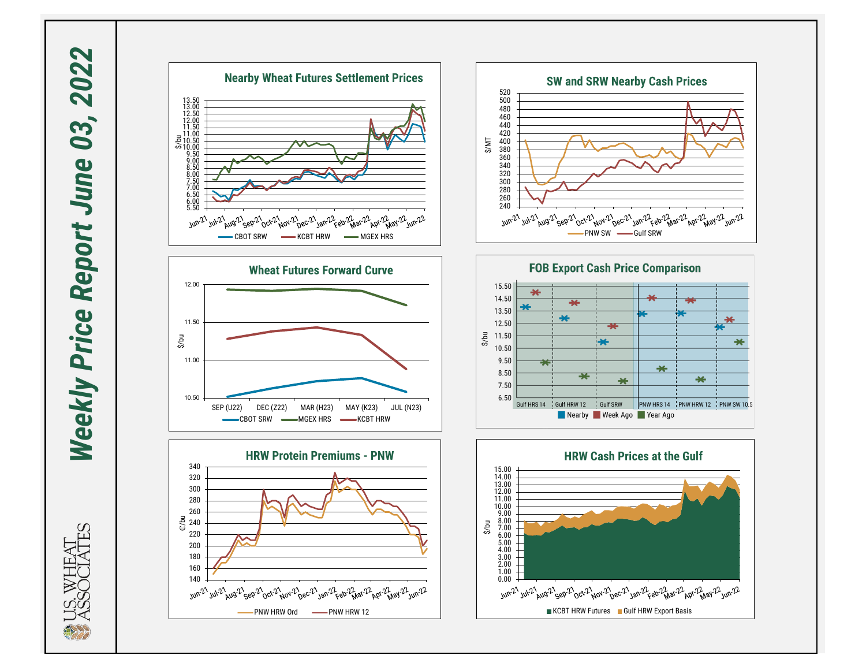